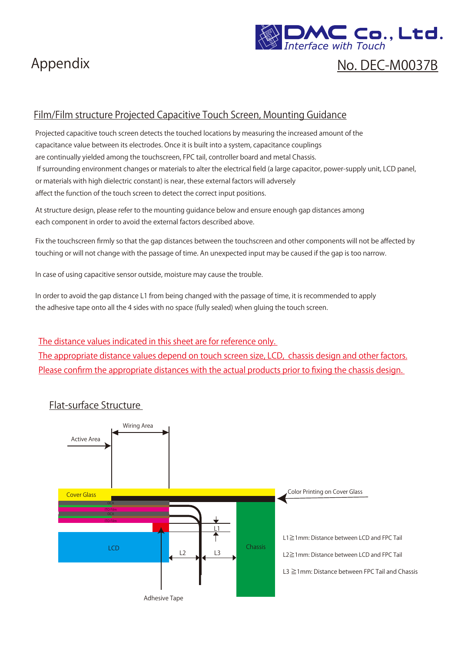



# No. DEC-M0037B

#### Film/Film structure Projected Capacitive Touch Screen, Mounting Guidance

Projected capacitive touch screen detects the touched locations by measuring the increased amount of the capacitance value between its electrodes. Once it is built into a system, capacitance couplings are continually yielded among the touchscreen, FPC tail, controller board and metal Chassis. If surrounding environment changes or materials to alter the electrical field (a large capacitor, power-supply unit, LCD panel, or materials with high dielectric constant) is near, these external factors will adversely affect the function of the touch screen to detect the correct input positions.

At structure design, please refer to the mounting guidance below and ensure enough gap distances among each component in order to avoid the external factors described above.

Fix the touchscreen firmly so that the gap distances between the touchscreen and other components will not be affected by touching or will not change with the passage of time. An unexpected input may be caused if the gap is too narrow.

In case of using capacitive sensor outside, moisture may cause the trouble.

In order to avoid the gap distance L1 from being changed with the passage of time, it is recommended to apply the adhesive tape onto all the 4 sides with no space (fully sealed) when gluing the touch screen.

The distance values indicated in this sheet are for reference only.

The appropriate distance values depend on touch screen size, LCD, chassis design and other factors. Please confirm the appropriate distances with the actual products prior to fixing the chassis design.



#### Flat-surface Structure